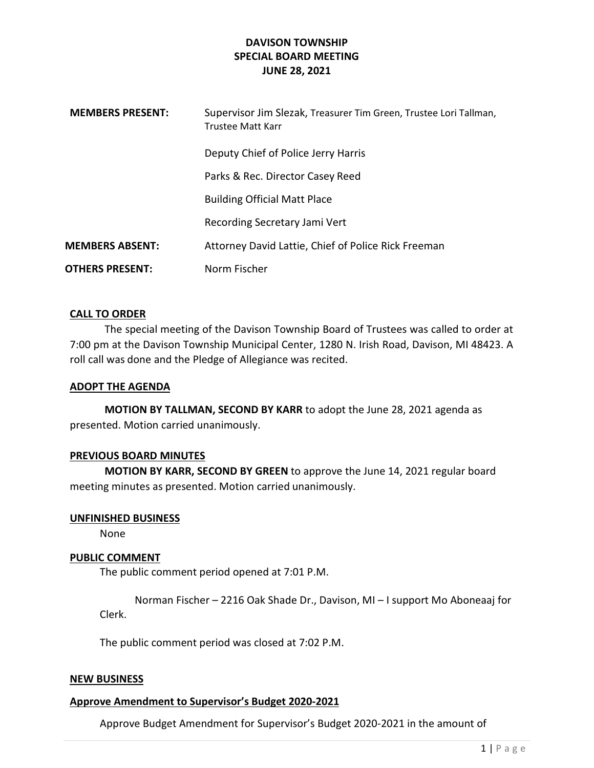| <b>MEMBERS PRESENT:</b> | Supervisor Jim Slezak, Treasurer Tim Green, Trustee Lori Tallman,<br><b>Trustee Matt Karr</b> |
|-------------------------|-----------------------------------------------------------------------------------------------|
|                         | Deputy Chief of Police Jerry Harris                                                           |
|                         | Parks & Rec. Director Casey Reed                                                              |
|                         | <b>Building Official Matt Place</b>                                                           |
|                         | Recording Secretary Jami Vert                                                                 |
| <b>MEMBERS ABSENT:</b>  | Attorney David Lattie, Chief of Police Rick Freeman                                           |
| <b>OTHERS PRESENT:</b>  | Norm Fischer                                                                                  |

## CALL TO ORDER

The special meeting of the Davison Township Board of Trustees was called to order at 7:00 pm at the Davison Township Municipal Center, 1280 N. Irish Road, Davison, MI 48423. A roll call was done and the Pledge of Allegiance was recited.

### ADOPT THE AGENDA

MOTION BY TALLMAN, SECOND BY KARR to adopt the June 28, 2021 agenda as presented. Motion carried unanimously.

### PREVIOUS BOARD MINUTES

MOTION BY KARR, SECOND BY GREEN to approve the June 14, 2021 regular board meeting minutes as presented. Motion carried unanimously.

### UNFINISHED BUSINESS

None

### PUBLIC COMMENT

The public comment period opened at 7:01 P.M.

 Norman Fischer – 2216 Oak Shade Dr., Davison, MI – I support Mo Aboneaaj for Clerk.

The public comment period was closed at 7:02 P.M.

### NEW BUSINESS

## Approve Amendment to Supervisor's Budget 2020-2021

Approve Budget Amendment for Supervisor's Budget 2020-2021 in the amount of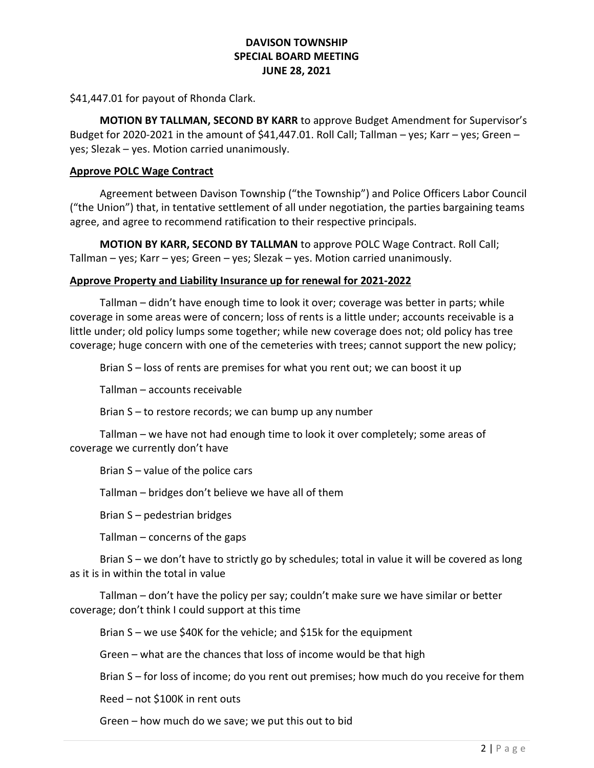\$41,447.01 for payout of Rhonda Clark.

MOTION BY TALLMAN, SECOND BY KARR to approve Budget Amendment for Supervisor's Budget for 2020-2021 in the amount of \$41,447.01. Roll Call; Tallman – yes; Karr – yes; Green – yes; Slezak – yes. Motion carried unanimously.

### Approve POLC Wage Contract

 Agreement between Davison Township ("the Township") and Police Officers Labor Council ("the Union") that, in tentative settlement of all under negotiation, the parties bargaining teams agree, and agree to recommend ratification to their respective principals.

MOTION BY KARR, SECOND BY TALLMAN to approve POLC Wage Contract. Roll Call; Tallman – yes; Karr – yes; Green – yes; Slezak – yes. Motion carried unanimously.

## Approve Property and Liability Insurance up for renewal for 2021-2022

 Tallman – didn't have enough time to look it over; coverage was better in parts; while coverage in some areas were of concern; loss of rents is a little under; accounts receivable is a little under; old policy lumps some together; while new coverage does not; old policy has tree coverage; huge concern with one of the cemeteries with trees; cannot support the new policy;

Brian S – loss of rents are premises for what you rent out; we can boost it up

Tallman – accounts receivable

Brian S – to restore records; we can bump up any number

 Tallman – we have not had enough time to look it over completely; some areas of coverage we currently don't have

Brian S – value of the police cars

Tallman – bridges don't believe we have all of them

Brian S – pedestrian bridges

Tallman – concerns of the gaps

 Brian S – we don't have to strictly go by schedules; total in value it will be covered as long as it is in within the total in value

 Tallman – don't have the policy per say; couldn't make sure we have similar or better coverage; don't think I could support at this time

Brian S – we use \$40K for the vehicle; and \$15k for the equipment

Green – what are the chances that loss of income would be that high

Brian S – for loss of income; do you rent out premises; how much do you receive for them

Reed – not \$100K in rent outs

Green – how much do we save; we put this out to bid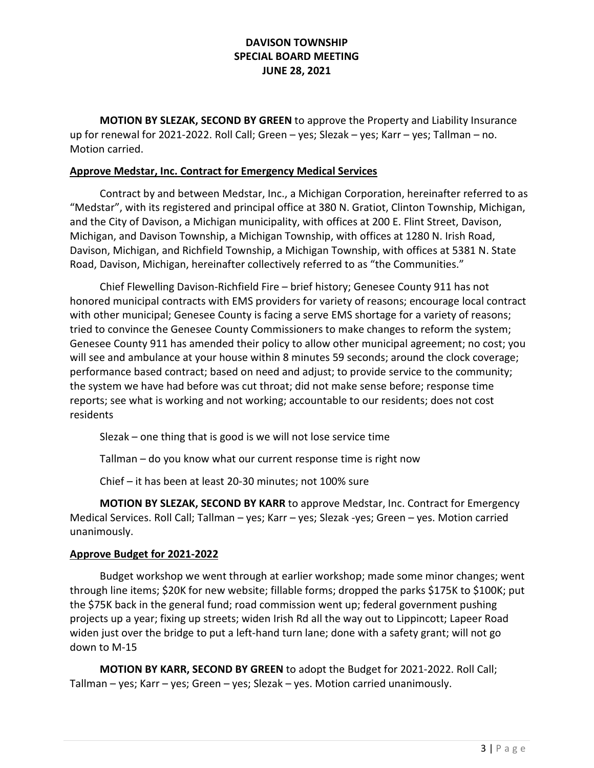MOTION BY SLEZAK, SECOND BY GREEN to approve the Property and Liability Insurance up for renewal for 2021-2022. Roll Call; Green – yes; Slezak – yes; Karr – yes; Tallman – no. Motion carried.

### Approve Medstar, Inc. Contract for Emergency Medical Services

 Contract by and between Medstar, Inc., a Michigan Corporation, hereinafter referred to as "Medstar", with its registered and principal office at 380 N. Gratiot, Clinton Township, Michigan, and the City of Davison, a Michigan municipality, with offices at 200 E. Flint Street, Davison, Michigan, and Davison Township, a Michigan Township, with offices at 1280 N. Irish Road, Davison, Michigan, and Richfield Township, a Michigan Township, with offices at 5381 N. State Road, Davison, Michigan, hereinafter collectively referred to as "the Communities."

 Chief Flewelling Davison-Richfield Fire – brief history; Genesee County 911 has not honored municipal contracts with EMS providers for variety of reasons; encourage local contract with other municipal; Genesee County is facing a serve EMS shortage for a variety of reasons; tried to convince the Genesee County Commissioners to make changes to reform the system; Genesee County 911 has amended their policy to allow other municipal agreement; no cost; you will see and ambulance at your house within 8 minutes 59 seconds; around the clock coverage; performance based contract; based on need and adjust; to provide service to the community; the system we have had before was cut throat; did not make sense before; response time reports; see what is working and not working; accountable to our residents; does not cost residents

Slezak – one thing that is good is we will not lose service time

Tallman – do you know what our current response time is right now

Chief – it has been at least 20-30 minutes; not 100% sure

 MOTION BY SLEZAK, SECOND BY KARR to approve Medstar, Inc. Contract for Emergency Medical Services. Roll Call; Tallman – yes; Karr – yes; Slezak -yes; Green – yes. Motion carried unanimously.

## Approve Budget for 2021-2022

 Budget workshop we went through at earlier workshop; made some minor changes; went through line items; \$20K for new website; fillable forms; dropped the parks \$175K to \$100K; put the \$75K back in the general fund; road commission went up; federal government pushing projects up a year; fixing up streets; widen Irish Rd all the way out to Lippincott; Lapeer Road widen just over the bridge to put a left-hand turn lane; done with a safety grant; will not go down to M-15

MOTION BY KARR, SECOND BY GREEN to adopt the Budget for 2021-2022. Roll Call; Tallman – yes; Karr – yes; Green – yes; Slezak – yes. Motion carried unanimously.